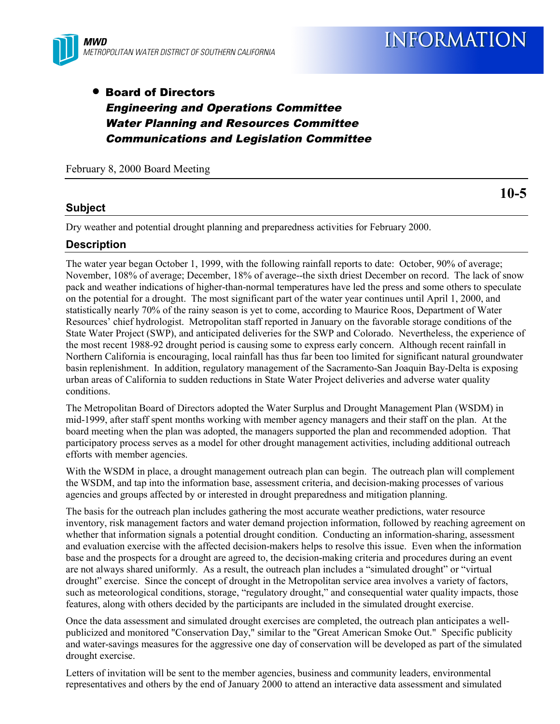

# • Board of Directors Engineering and Operations Committee Water Planning and Resources Committee Communications and Legislation Committee

February 8, 2000 Board Meeting

#### **Subject**

Dry weather and potential drought planning and preparedness activities for February 2000.

#### **Description**

The water year began October 1, 1999, with the following rainfall reports to date: October, 90% of average; November, 108% of average; December, 18% of average--the sixth driest December on record. The lack of snow pack and weather indications of higher-than-normal temperatures have led the press and some others to speculate on the potential for a drought. The most significant part of the water year continues until April 1, 2000, and statistically nearly 70% of the rainy season is yet to come, according to Maurice Roos, Department of Water Resources' chief hydrologist. Metropolitan staff reported in January on the favorable storage conditions of the State Water Project (SWP), and anticipated deliveries for the SWP and Colorado. Nevertheless, the experience of the most recent 1988-92 drought period is causing some to express early concern. Although recent rainfall in Northern California is encouraging, local rainfall has thus far been too limited for significant natural groundwater basin replenishment. In addition, regulatory management of the Sacramento-San Joaquin Bay-Delta is exposing urban areas of California to sudden reductions in State Water Project deliveries and adverse water quality conditions.

The Metropolitan Board of Directors adopted the Water Surplus and Drought Management Plan (WSDM) in mid-1999, after staff spent months working with member agency managers and their staff on the plan. At the board meeting when the plan was adopted, the managers supported the plan and recommended adoption. That participatory process serves as a model for other drought management activities, including additional outreach efforts with member agencies.

With the WSDM in place, a drought management outreach plan can begin. The outreach plan will complement the WSDM, and tap into the information base, assessment criteria, and decision-making processes of various agencies and groups affected by or interested in drought preparedness and mitigation planning.

The basis for the outreach plan includes gathering the most accurate weather predictions, water resource inventory, risk management factors and water demand projection information, followed by reaching agreement on whether that information signals a potential drought condition. Conducting an information-sharing, assessment and evaluation exercise with the affected decision-makers helps to resolve this issue. Even when the information base and the prospects for a drought are agreed to, the decision-making criteria and procedures during an event are not always shared uniformly. As a result, the outreach plan includes a "simulated drought" or "virtual drought" exercise. Since the concept of drought in the Metropolitan service area involves a variety of factors, such as meteorological conditions, storage, "regulatory drought," and consequential water quality impacts, those features, along with others decided by the participants are included in the simulated drought exercise.

Once the data assessment and simulated drought exercises are completed, the outreach plan anticipates a wellpublicized and monitored "Conservation Day," similar to the "Great American Smoke Out." Specific publicity and water-savings measures for the aggressive one day of conservation will be developed as part of the simulated drought exercise.

Letters of invitation will be sent to the member agencies, business and community leaders, environmental representatives and others by the end of January 2000 to attend an interactive data assessment and simulated

**10-5**